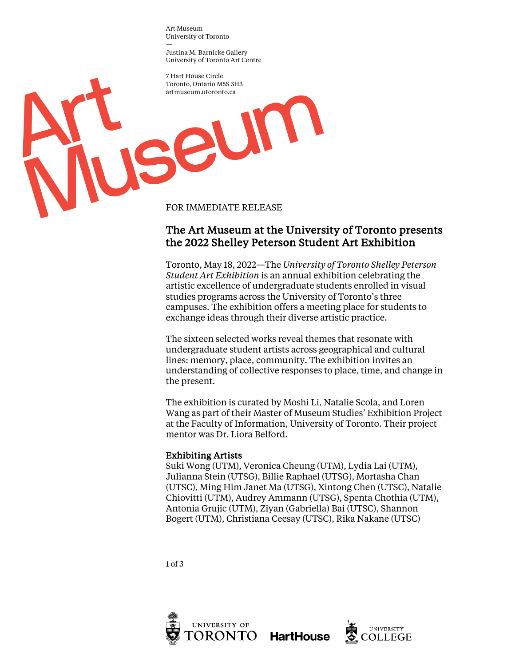Art Museum University of Toronto —

Justina M. Barnicke Gallery University of Toronto Art Centre

jseum

7 Hart House Circle Toronto, Ontario M5S 3H3 artmuseum.utoronto.ca

FOR IMMEDIATE RELEASE

# The Art Museum at the University of Toronto presents the 2022 Shelley Peterson Student Art Exhibition

Toronto, May 18, 2022—The *University of Toronto Shelley Peterson Student Art Exhibition* is an annual exhibition celebrating the artistic excellence of undergraduate students enrolled in visual studies programs across the University of Toronto's three campuses. The exhibition offers a meeting place for students to exchange ideas through their diverse artistic practice.

The sixteen selected works reveal themes that resonate with undergraduate student artists across geographical and cultural lines: memory, place, community. The exhibition invites an understanding of collective responses to place, time, and change in the present.

The exhibition is curated by Moshi Li, Natalie Scola, and Loren Wang as part of their Master of Museum Studies' Exhibition Project at the Faculty of Information, University of Toronto. Their project mentor was Dr. Liora Belford.

## Exhibiting Artists

Suki Wong (UTM), Veronica Cheung (UTM), Lydia Lai (UTM), Julianna Stein (UTSG), Billie Raphael (UTSG), Mortasha Chan (UTSC), Ming Him Janet Ma (UTSG), Xintong Chen (UTSC), Natalie Chiovitti (UTM), Audrey Ammann (UTSG), Spenta Chothia (UTM), Antonia Grujic (UTM), Ziyan (Gabriella) Bai (UTSC), Shannon Bogert (UTM), Christiana Ceesay (UTSC), Rika Nakane (UTSC)

1 of 3



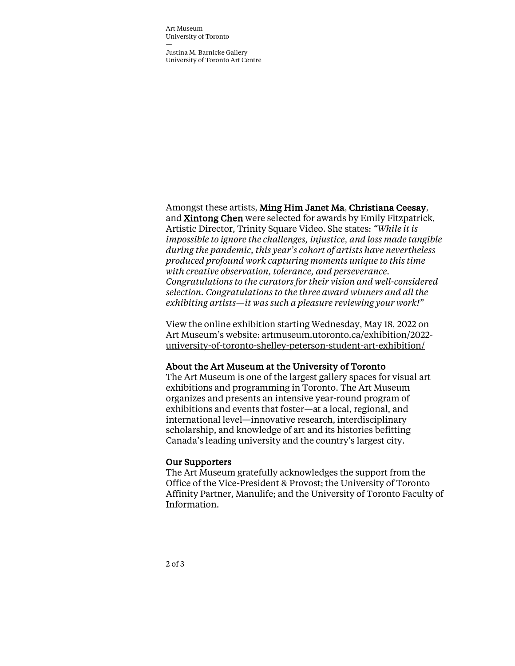Art Museum University of Toronto —

Justina M. Barnicke Gallery University of Toronto Art Centre

### Amongst these artists, Ming Him Janet Ma, Christiana Ceesay,

and Xintong Chen were selected for awards by Emily Fitzpatrick, Artistic Director, Trinity Square Video. She states: *"While it is impossible to ignore the challenges, injustice, and loss made tangible during the pandemic, this year's cohort of artists have nevertheless produced profound work capturing moments unique to this time with creative observation, tolerance, and perseverance. Congratulations to the curators for their vision and well-considered selection. Congratulations to the three award winners and all the exhibiting artists—it was such a pleasure reviewing your work!"*

View the online exhibition starting Wednesday, May 18, 2022 on Art Museum's website: artmuseum.utoronto.ca/exhibition/2022 university-of-toronto-shelley-peterson-student-art-exhibition/

#### About the Art Museum at the University of Toronto

The Art Museum is one of the largest gallery spaces for visual art exhibitions and programming in Toronto. The Art Museum organizes and presents an intensive year-round program of exhibitions and events that foster—at a local, regional, and international level—innovative research, interdisciplinary scholarship, and knowledge of art and its histories befitting Canada's leading university and the country's largest city.

#### Our Supporters

The Art Museum gratefully acknowledges the support from the Office of the Vice-President & Provost; the University of Toronto Affinity Partner, Manulife; and the University of Toronto Faculty of Information.